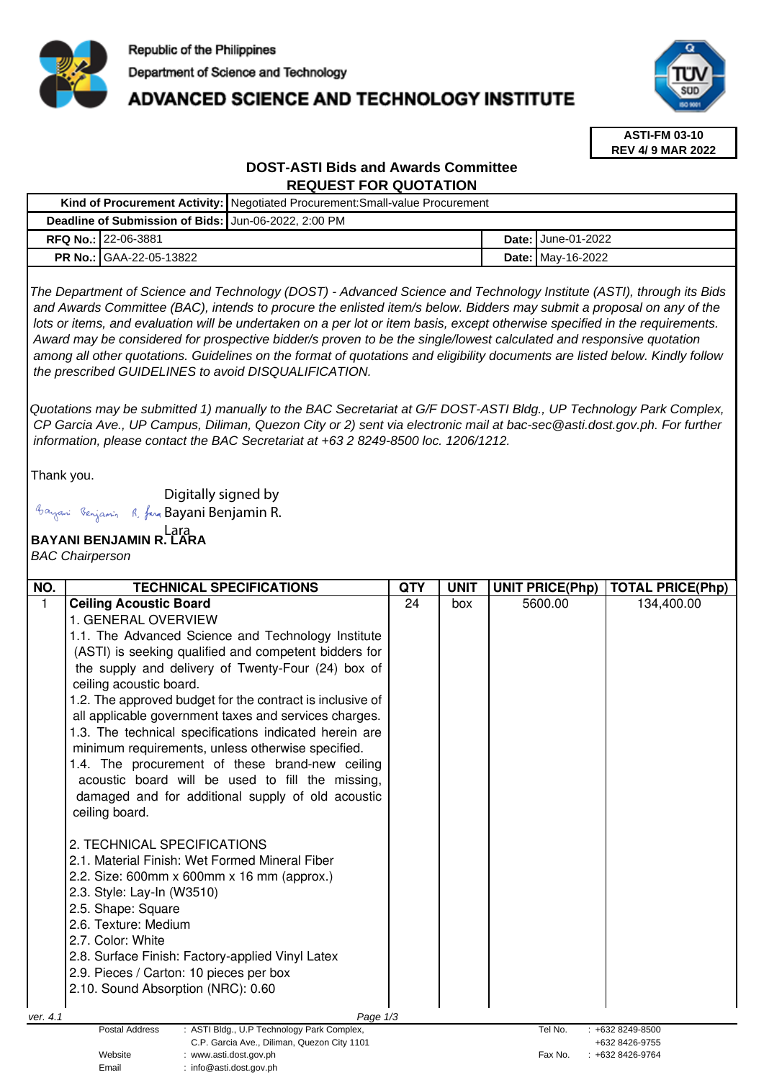

## **ADVANCED SCIENCE AND TECHNOLOGY INSTITUTE**



**ASTI-FM 03-10 REV 4/ 9 MAR 2022**

### **DOST-ASTI Bids and Awards Committee REQUEST FOR QUOTATION**

|                                                      |                                | Kind of Procurement Activity:   Negotiated Procurement: Small-value Procurement |  |                             |  |  |
|------------------------------------------------------|--------------------------------|---------------------------------------------------------------------------------|--|-----------------------------|--|--|
| Deadline of Submission of Bids: Jun-06-2022, 2:00 PM |                                |                                                                                 |  |                             |  |  |
|                                                      | <b>RFQ No.: 122-06-3881</b>    |                                                                                 |  | <b>Date: I</b> June-01-2022 |  |  |
|                                                      | <b>PR No.: GAA-22-05-13822</b> |                                                                                 |  | <b>Date: May-16-2022</b>    |  |  |

The Department of Science and Technology (DOST) - Advanced Science and Technology Institute (ASTI), through its Bids and Awards Committee (BAC), intends to procure the enlisted item/s below. Bidders may submit a proposal on any of the lots or items, and evaluation will be undertaken on a per lot or item basis, except otherwise specified in the requirements. Award may be considered for prospective bidder/s proven to be the single/lowest calculated and responsive quotation among all other quotations. Guidelines on the format of quotations and eligibility documents are listed below. Kindly follow the prescribed GUIDELINES to avoid DISQUALIFICATION.

Quotations may be submitted 1) manually to the BAC Secretariat at G/F DOST-ASTI Bldg., UP Technology Park Complex, CP Garcia Ave., UP Campus, Diliman, Quezon City or 2) sent via electronic mail at bac-sec@asti.dost.gov.ph. For further information, please contact the BAC Secretariat at +63 2 8249-8500 loc. 1206/1212.

Thank you.

Digitally signed by

Bayani Benjamin R. fara Bayani Benjamin R.

# **BAYANI BENJAMIN R. LARA**  Lara

BAC Chairperson

| NO.      | <b>TECHNICAL SPECIFICATIONS</b>                                     | <b>QTY</b> | <b>UNIT</b> | <b>UNIT PRICE(Php)</b> | <b>TOTAL PRICE(Php)</b> |
|----------|---------------------------------------------------------------------|------------|-------------|------------------------|-------------------------|
| 1        | <b>Ceiling Acoustic Board</b>                                       | 24         | box         | 5600.00                | 134,400.00              |
|          | 1. GENERAL OVERVIEW                                                 |            |             |                        |                         |
|          | 1.1. The Advanced Science and Technology Institute                  |            |             |                        |                         |
|          | (ASTI) is seeking qualified and competent bidders for               |            |             |                        |                         |
|          | the supply and delivery of Twenty-Four (24) box of                  |            |             |                        |                         |
|          | ceiling acoustic board.                                             |            |             |                        |                         |
|          | 1.2. The approved budget for the contract is inclusive of           |            |             |                        |                         |
|          | all applicable government taxes and services charges.               |            |             |                        |                         |
|          | 1.3. The technical specifications indicated herein are              |            |             |                        |                         |
|          | minimum requirements, unless otherwise specified.                   |            |             |                        |                         |
|          | 1.4. The procurement of these brand-new ceiling                     |            |             |                        |                         |
|          | acoustic board will be used to fill the missing,                    |            |             |                        |                         |
|          | damaged and for additional supply of old acoustic                   |            |             |                        |                         |
|          | ceiling board.                                                      |            |             |                        |                         |
|          |                                                                     |            |             |                        |                         |
|          | 2. TECHNICAL SPECIFICATIONS                                         |            |             |                        |                         |
|          | 2.1. Material Finish: Wet Formed Mineral Fiber                      |            |             |                        |                         |
|          | 2.2. Size: 600mm x 600mm x 16 mm (approx.)                          |            |             |                        |                         |
|          | 2.3. Style: Lay-In (W3510)                                          |            |             |                        |                         |
|          | 2.5. Shape: Square                                                  |            |             |                        |                         |
|          | 2.6. Texture: Medium                                                |            |             |                        |                         |
|          | 2.7. Color: White                                                   |            |             |                        |                         |
|          | 2.8. Surface Finish: Factory-applied Vinyl Latex                    |            |             |                        |                         |
|          | 2.9. Pieces / Carton: 10 pieces per box                             |            |             |                        |                         |
|          | 2.10. Sound Absorption (NRC): 0.60                                  |            |             |                        |                         |
| ver. 4.1 | Page 1/3                                                            |            |             |                        |                         |
|          | <b>Postal Address</b><br>: ASTI Bldg., U.P Technology Park Complex, |            |             | Tel No.                | +632 8249-8500          |
|          | C.P. Garcia Ave., Diliman, Quezon City 1101                         |            |             |                        | +632 8426-9755          |

Website : www.asti.dost.gov.ph Fax No. : +632 8426-9764 Email : info@asti.dost.gov.ph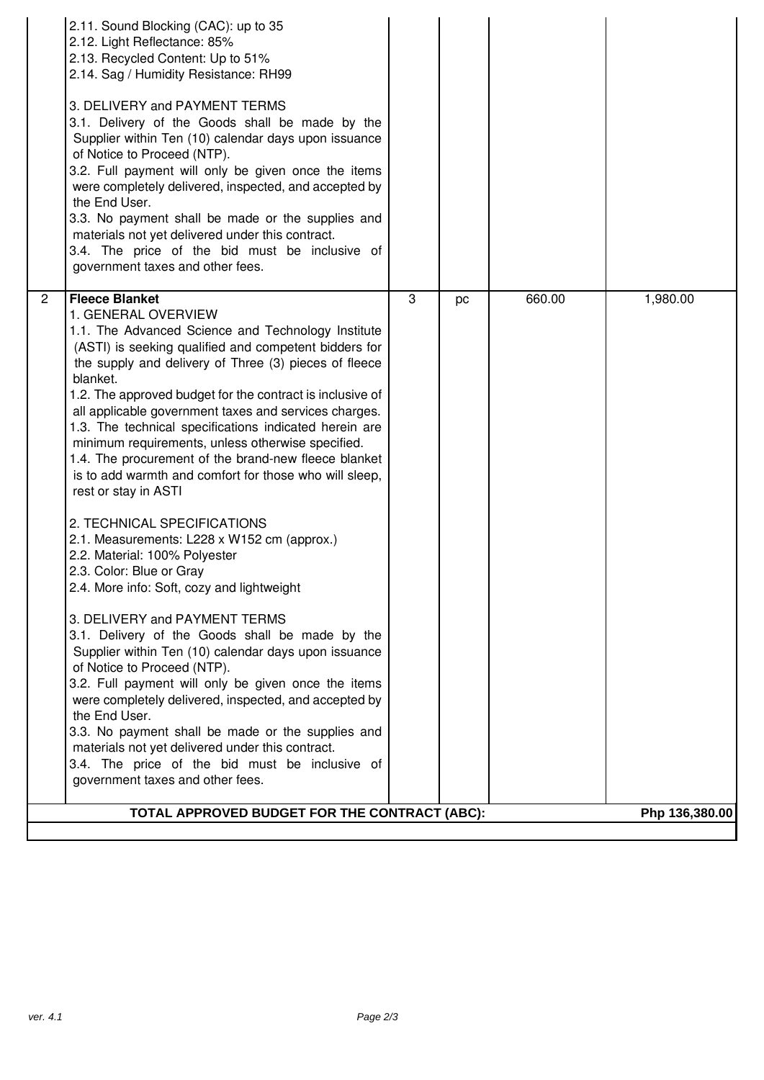|                                                                 | 2.11. Sound Blocking (CAC): up to 35<br>2.12. Light Reflectance: 85%<br>2.13. Recycled Content: Up to 51%<br>2.14. Sag / Humidity Resistance: RH99<br>3. DELIVERY and PAYMENT TERMS<br>3.1. Delivery of the Goods shall be made by the<br>Supplier within Ten (10) calendar days upon issuance<br>of Notice to Proceed (NTP).<br>3.2. Full payment will only be given once the items<br>were completely delivered, inspected, and accepted by<br>the End User.<br>3.3. No payment shall be made or the supplies and<br>materials not yet delivered under this contract.<br>3.4. The price of the bid must be inclusive of<br>government taxes and other fees.                                                                                                                                                                                                                                                                                                                                                                                                                                                                                                                                                                                                                                                       |   |    |        |          |  |
|-----------------------------------------------------------------|---------------------------------------------------------------------------------------------------------------------------------------------------------------------------------------------------------------------------------------------------------------------------------------------------------------------------------------------------------------------------------------------------------------------------------------------------------------------------------------------------------------------------------------------------------------------------------------------------------------------------------------------------------------------------------------------------------------------------------------------------------------------------------------------------------------------------------------------------------------------------------------------------------------------------------------------------------------------------------------------------------------------------------------------------------------------------------------------------------------------------------------------------------------------------------------------------------------------------------------------------------------------------------------------------------------------|---|----|--------|----------|--|
| $\overline{2}$                                                  | <b>Fleece Blanket</b><br>1. GENERAL OVERVIEW<br>1.1. The Advanced Science and Technology Institute<br>(ASTI) is seeking qualified and competent bidders for<br>the supply and delivery of Three (3) pieces of fleece<br>blanket.<br>1.2. The approved budget for the contract is inclusive of<br>all applicable government taxes and services charges.<br>1.3. The technical specifications indicated herein are<br>minimum requirements, unless otherwise specified.<br>1.4. The procurement of the brand-new fleece blanket<br>is to add warmth and comfort for those who will sleep,<br>rest or stay in ASTI<br>2. TECHNICAL SPECIFICATIONS<br>2.1. Measurements: L228 x W152 cm (approx.)<br>2.2. Material: 100% Polyester<br>2.3. Color: Blue or Gray<br>2.4. More info: Soft, cozy and lightweight<br>3. DELIVERY and PAYMENT TERMS<br>3.1. Delivery of the Goods shall be made by the<br>Supplier within Ten (10) calendar days upon issuance<br>of Notice to Proceed (NTP).<br>3.2. Full payment will only be given once the items<br>were completely delivered, inspected, and accepted by<br>the End User.<br>3.3. No payment shall be made or the supplies and<br>materials not yet delivered under this contract.<br>3.4. The price of the bid must be inclusive of<br>government taxes and other fees. | 3 | pc | 660.00 | 1,980.00 |  |
| TOTAL APPROVED BUDGET FOR THE CONTRACT (ABC):<br>Php 136,380.00 |                                                                                                                                                                                                                                                                                                                                                                                                                                                                                                                                                                                                                                                                                                                                                                                                                                                                                                                                                                                                                                                                                                                                                                                                                                                                                                                     |   |    |        |          |  |